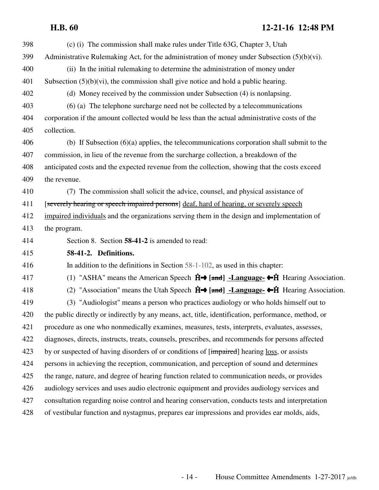398 (c) (i) The commission shall make rules under Title 63G, Chapter 3, Utah 399 Administrative Rulemaking Act, for the administration of money under Subsection  $(5)(b)(vi)$ . 400 (ii) In the initial rulemaking to determine the administration of money under 401 Subsection (5)(b)(vi), the commission shall give notice and hold a public hearing. 402 (d) Money received by the commission under Subsection (4) is nonlapsing. 403 (6) (a) The telephone surcharge need not be collected by a telecommunications 404 corporation if the amount collected would be less than the actual administrative costs of the 405 collection. 406 (b) If Subsection (6)(a) applies, the telecommunications corporation shall submit to the 407 commission, in lieu of the revenue from the surcharge collection, a breakdown of the 408 anticipated costs and the expected revenue from the collection, showing that the costs exceed 409 the revenue. 410 (7) The commission shall solicit the advice, counsel, and physical assistance of 411 [severely hearing or speech impaired persons] deaf, hard of hearing, or severely speech 412 impaired individuals and the organizations serving them in the design and implementation of 413 the program. 414 Section 8. Section **58-41-2** is amended to read: 415 **58-41-2. Definitions.** 416 In addition to the definitions in Section 58-1-102, as used in this chapter: 417 (1) "ASHA" means the American Speech  $\hat{H} \rightarrow \text{[and]}$  -Language- $\leftarrow \hat{H}$  Hearing Association. 418 (2) "Association" means the Utah Speech  $\hat{H}$   $\rightarrow$  [and ] -Language- $\leftarrow$   $\hat{H}$  Hearing Association. 419 (3) "Audiologist" means a person who practices audiology or who holds himself out to 420 the public directly or indirectly by any means, act, title, identification, performance, method, or 421 procedure as one who nonmedically examines, measures, tests, interprets, evaluates, assesses, 422 diagnoses, directs, instructs, treats, counsels, prescribes, and recommends for persons affected 423 by or suspected of having disorders of or conditions of [impaired] hearing loss, or assists 424 persons in achieving the reception, communication, and perception of sound and determines 425 the range, nature, and degree of hearing function related to communication needs, or provides 426 audiology services and uses audio electronic equipment and provides audiology services and 427 consultation regarding noise control and hearing conservation, conducts tests and interpretation 428 of vestibular function and nystagmus, prepares ear impressions and provides ear molds, aids,